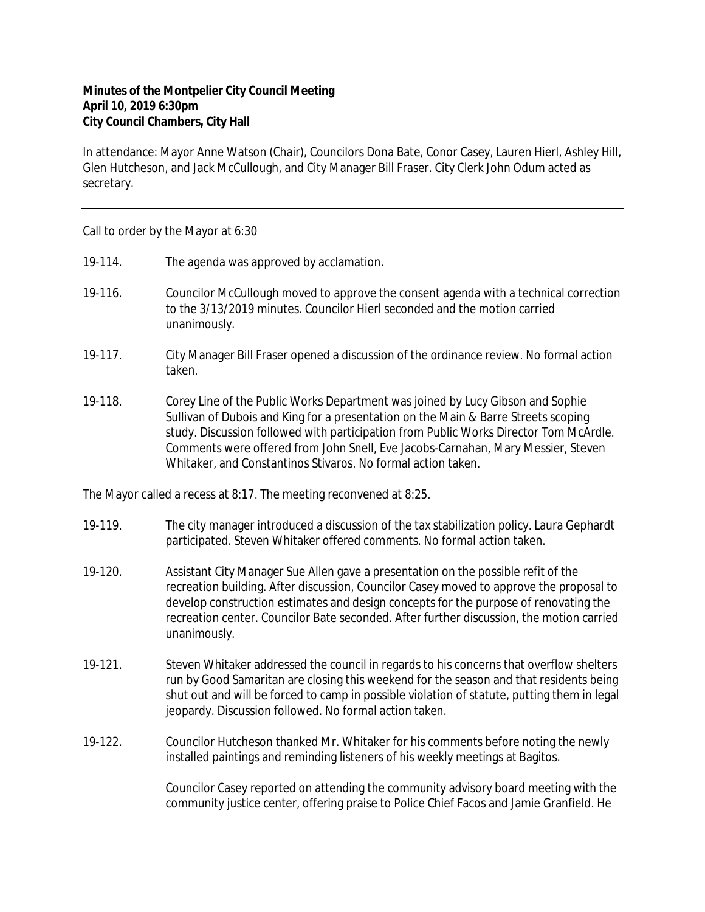## **Minutes of the Montpelier City Council Meeting April 10, 2019 6:30pm City Council Chambers, City Hall**

In attendance: Mayor Anne Watson (Chair), Councilors Dona Bate, Conor Casey, Lauren Hierl, Ashley Hill, Glen Hutcheson, and Jack McCullough, and City Manager Bill Fraser. City Clerk John Odum acted as secretary.

Call to order by the Mayor at 6:30

- 19-114. The agenda was approved by acclamation.
- 19-116. Councilor McCullough moved to approve the consent agenda with a technical correction to the 3/13/2019 minutes. Councilor Hierl seconded and the motion carried unanimously.
- 19-117. City Manager Bill Fraser opened a discussion of the ordinance review. No formal action taken.
- 19-118. Corey Line of the Public Works Department was joined by Lucy Gibson and Sophie Sullivan of Dubois and King for a presentation on the Main & Barre Streets scoping study. Discussion followed with participation from Public Works Director Tom McArdle. Comments were offered from John Snell, Eve Jacobs-Carnahan, Mary Messier, Steven Whitaker, and Constantinos Stivaros. No formal action taken.

The Mayor called a recess at 8:17. The meeting reconvened at 8:25.

- 19-119. The city manager introduced a discussion of the tax stabilization policy. Laura Gephardt participated. Steven Whitaker offered comments. No formal action taken.
- 19-120. Assistant City Manager Sue Allen gave a presentation on the possible refit of the recreation building. After discussion, Councilor Casey moved to approve the proposal to develop construction estimates and design concepts for the purpose of renovating the recreation center. Councilor Bate seconded. After further discussion, the motion carried unanimously.
- 19-121. Steven Whitaker addressed the council in regards to his concerns that overflow shelters run by Good Samaritan are closing this weekend for the season and that residents being shut out and will be forced to camp in possible violation of statute, putting them in legal jeopardy. Discussion followed. No formal action taken.
- 19-122. Councilor Hutcheson thanked Mr. Whitaker for his comments before noting the newly installed paintings and reminding listeners of his weekly meetings at Bagitos.

Councilor Casey reported on attending the community advisory board meeting with the community justice center, offering praise to Police Chief Facos and Jamie Granfield. He